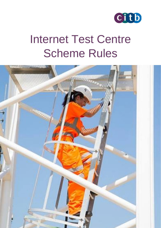

# Internet Test Centre Scheme Rules

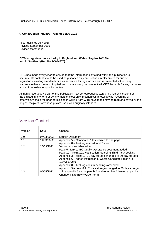Published by CITB, Sand Martin House, Bittern Way, Peterborough, PE2 8TY

#### © **Construction Industry Training Board 2022**

First Published July 2016 Revised September 2016 Revised March 2022

#### **CITB is registered as a charity in England and Wales (Reg No 264289) and in Scotland (Reg No SC044875)**

CITB has made every effort to ensure that the information contained within this publication is accurate. Its content should be used as guidance only and not as a replacement for current regulations, existing standards or as a substitute for legal advice and is presented without any warranty, either express or implied, as to its accuracy. In no event will CITB be liable for any damages arising from reliance upon its content.

All rights reserved. No part of this publication may be reproduced, stored in a retrieval system or transmitted in any form or by any means, electronic, mechanical, photocopying, recording or otherwise, without the prior permission in writing from CITB save that it may be read and saved by the original recipient, for whose private use it was originally intended.

| Version | Date       | Change                                                                                                                                                                                                                                                                                                                                                                                                                           |
|---------|------------|----------------------------------------------------------------------------------------------------------------------------------------------------------------------------------------------------------------------------------------------------------------------------------------------------------------------------------------------------------------------------------------------------------------------------------|
| 1.0     | 07/03/2022 | Launch Document                                                                                                                                                                                                                                                                                                                                                                                                                  |
| 1.1     | 11/03/2022 | Appendix 5 – Candidate Rules resized to one page<br>Appendix 8 - Test log resized to fit 7 lines                                                                                                                                                                                                                                                                                                                                 |
| 1.2     | 25/03/2022 | Version control table added<br>Page 5 - Link to ITC Quality Assurance document added<br>Page 10 - Point 10.1 clarification regarding Third Party booking<br>Appendix 3 – point 13. 31-day storage changed to 30-day storage<br>Appendix 6 - added instruction of where Candidate Rules are<br>stored in VSS<br>Appendix 8 - Test log column headings amended<br>Appendix 9 – point 8.1. 31-day storage changed to 30-day storage |
| 1.3     | 05/05/2022 | Join appendix 5 and appendix 6 and renumber following appendix<br>Change link to new Waiver Form                                                                                                                                                                                                                                                                                                                                 |

### <span id="page-1-0"></span>Version Control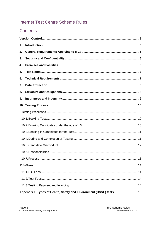### **Internet Test Centre Scheme Rules**

## Contents

| 1. |                                                                     |  |  |  |  |
|----|---------------------------------------------------------------------|--|--|--|--|
| 2. |                                                                     |  |  |  |  |
| 3. |                                                                     |  |  |  |  |
| 4. |                                                                     |  |  |  |  |
| 5. |                                                                     |  |  |  |  |
| 6. |                                                                     |  |  |  |  |
| 7. |                                                                     |  |  |  |  |
| 8. |                                                                     |  |  |  |  |
| 9. |                                                                     |  |  |  |  |
|    |                                                                     |  |  |  |  |
|    |                                                                     |  |  |  |  |
|    |                                                                     |  |  |  |  |
|    |                                                                     |  |  |  |  |
|    |                                                                     |  |  |  |  |
|    |                                                                     |  |  |  |  |
|    |                                                                     |  |  |  |  |
|    |                                                                     |  |  |  |  |
|    |                                                                     |  |  |  |  |
|    |                                                                     |  |  |  |  |
|    |                                                                     |  |  |  |  |
|    |                                                                     |  |  |  |  |
|    |                                                                     |  |  |  |  |
|    | Appendix 1. Types of Health, Safety and Environment (HS&E) tests 15 |  |  |  |  |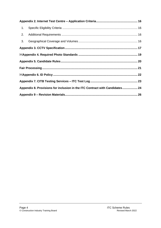| 1.                                                                          |  |  |  |  |  |
|-----------------------------------------------------------------------------|--|--|--|--|--|
| 2.                                                                          |  |  |  |  |  |
|                                                                             |  |  |  |  |  |
|                                                                             |  |  |  |  |  |
|                                                                             |  |  |  |  |  |
|                                                                             |  |  |  |  |  |
|                                                                             |  |  |  |  |  |
|                                                                             |  |  |  |  |  |
|                                                                             |  |  |  |  |  |
| Appendix 8. Provisions for inclusion in the ITC Contract with Candidates 24 |  |  |  |  |  |
|                                                                             |  |  |  |  |  |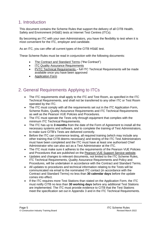### <span id="page-4-0"></span>1. Introduction

This document contains the Scheme Rules that support the delivery of all CITB Health, Safety and Environment (HS&E) tests at Internet Test Centres (ITCs).

By becoming an ITC with your own Administrators, you have the flexibility to test when it is most convenient for the ITC, employer and candidate.

As an ITC, you can offer all current types of the CITB HS&E test.

These Scheme Rules must be read in conjunction with the following documents:

- The Contract [and Standard Terms](https://www.citb.co.uk/media/orulhbuw/citb_centre_agreement_standard_terms_20160701.pdf) ("the Contract")
- **[ITC Quality Assurance Requirements](https://www.citb.co.uk/media/4s2btfsa/itc-quality-assurance-requirements-march-2022.pdf)**
- [PVTC Technical Requirements](https://home.pearsonvue.com/Documents/Test-center/pearsonvue_technical_reqs.aspx) full ITC Technical Requirements will be made available once you have been approved
- [Application Form](https://forms.office.com/Pages/ResponsePage.aspx?id=sc0v476-60S-HO9HADhxYwJIO7D6qHlEkX5xMoKlXb9UN1VVVU4wMjBXVFUyU0hGNVE0VzdaMlgwOCQlQCN0PWcu)

### <span id="page-4-1"></span>2. General Requirements Applying to ITCs

- The ITC requirements shall apply to the ITC and Test Room, as specified in the ITC Technical Requirements, and shall not be transferred to any other ITC or Test Room operated by the ITC.
- The ITC must comply with all the requirements set out in the ITC Application Form, Scheme Rules, Quality Assurance Requirements and ITC Technical Requirements as well as the Pearson VUE Policies and Procedures.
- The ITC must operate the Tests only through equipment that complies with the minimum ITC Technical Requirements.
- The ITC has up to **3 months** from the date of the Form of Agreement to install all the necessary systems and software, and to complete the training of Test Administrators, to make sure CITB's Tests are delivered correctly.
- Before the ITC can commence testing, all required training (which may include any other training that CITB deems necessary) and testing of the ITC Test Administrators must have been completed and the ITC must have at least one authorised Chief Administrator who can also act as a Test Administrator at the ITC.
- The ITC must make sure it adheres to the requirements of the Pearson VUE Policies and Procedures that are published on the [Pearson VUE Support Service website.](https://vss.pearsonvue.com/)
- Updates and changes to relevant documents, not limited to the ITC Scheme Rules, ITC Technical Requirements, Quality Assurance Requirements and Policy and Procedures, will be undertaken in accordance with the Contract and Standard Terms.
- All updates to procedures and technical information relating to the Tests will be communicated via email to the nominated ITC contact (in accordance with the Contract and Standard Terms) no less than **30 calendar days** before the update comes into effect.
- If the ITC requires more Test Stations than stated on the Application Form, the ITC must notify CITB no less than **30 working days** before any additional Test Stations are implemented. The ITC must provide evidence to CITB that the Test Stations meet the specification set out in Appendix 3 and in the ITC Technical Requirements.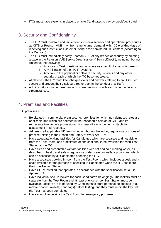• ITCs must have systems in place to enable Candidates to pay by credit/debit card.

### <span id="page-5-0"></span>3. Security and Confidentiality

- The ITC must maintain and implement such new security and operational procedures as CITB or Pearson VUE may, from time to time, demand within **30 working days** of receiving such instructions via email, sent to the nominated ITC contact (according to the Contract).
- The ITC must immediately notify Pearson VUE of any breach of security by creating a case in the Pearson VUE ServiceDirect system ("ServiceDirect"), including, but not limited to, the following:
	- o Any loss of Test questions and answers as a result of a security breach.
	- o Any infiltration of the ITC IT systems.
	- o Any flaw in the physical or software security systems and any other security breach of which the ITC becomes aware.
- At all times, the ITC must keep the questions and answers relating to an HS&E test secure and prevent their disclosure (other than in the conduct of a Test).
- Administrators must not exchange or share passwords with each other under any circumstances.

### <span id="page-5-1"></span>4. Premises and Facilities

ITC premises must:

- Be situated in commercial premises, i.e., premises for which non-domestic rates are applicable and which are deemed in the reasonable opinion of CITB and its representatives to be a professional, business-like environment suitable for assessment in all respects.
- Adhere to all applicable UK laws including, but not limited to, regulations or codes of practice relating to the Health and Safety at Work Act 1974.
- Have adequate waiting facilities for Candidates which are separate and not visible from the Test Room, and a minimum of one seat should be available for each Test Station at the ITC.
- Have clean and presentable welfare facilities with hot and cold running water, as described in health and safety regulations under statutory welfare provisions, which can be accessed by all Candidates attending the ITC.
- Have a separate booking-in room from the Test Room, which includes a desk and a chair available for the purpose of checking-in Candidates when the ITC has more than one Testing Station.
- Have CCTV installed that operates in accordance with the specification set out in Appendix 3.
- Have individual secure lockers for each Candidate's belongings. The lockers must be separate from the Test Room and at least one locker per Test Station must be available. Lockers are to be used by Candidates to store personal belongings (e.g. mobile phones, wallets, handbags) before testing, and they must retain the key until the Test has been completed.
- Have a landline outside the Test Room for emergency purposes.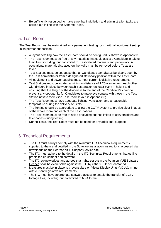• Be sufficiently resourced to make sure that invigilation and administration tasks are carried out in line with the Scheme Rules.

### <span id="page-6-0"></span>5. Test Room

The Test Room must be maintained as a permanent testing room, with all equipment set up in its permanent position.

- A layout detailing how the Test Room should be configured is shown in Appendix 3.
- The Test Room must be free of any materials that could assist a Candidate in taking their Test, including, but not limited to, Test-related materials and paperwork. All educational materials displayed on the walls must be removed before Tests are taken.
- Test Stations must be set out so that all Candidates can always be clearly seen by the Test Administrator from a designated stationary position within the Test Room.
- All equipment and power supplies must meet current legislative requirements.
- Test Stations must be located a minimum distance of 1.25m away from each other, with dividers in place between each Test Station (at least 60cm in height and ensuring that the length of the dividers is to the end of the Candidate's chair) to prevent any opportunity for Candidates to make eye contact with those in the Test Station next to them (see Test Room layout in Appendix 3).
- The Test Room must have adequate lighting, ventilation, and a reasonable temperature during the delivery of Tests.
- The lighting should be appropriate to allow the CCTV system to provide clear images of the whole room and each of the Test Stations.
- The Test Room must be free of noise (including but not limited to conversations and telephones) during testing.
- During Tests, the Test Room must not be used for any additional purpose.

### <span id="page-6-1"></span>6. Technical Requirements

- The ITC must always comply with the minimum ITC Technical Requirements supplied to them and detailed in the Software Installation Instructions accessed via downloads on the Pearson VUE Support Service site.
- The ITC must adhere to the details in the ITC Technical Requirements that outline prohibited equipment and software.
- The ITC acknowledges and agrees that rights set out in the [Pearson VUE Software](https://vss.pearsonvue.com/)  [Licence](https://vss.pearsonvue.com/) shall be exercisable against the ITC by either CITB or Pearson VUE.
- Measures must be in place to prevent glare on Visual Display Units (VDUs), in line with current legislative requirements.
- The ITC must have appropriate software access to enable the transfer of CCTV footage files, including but not limited to MP4 format.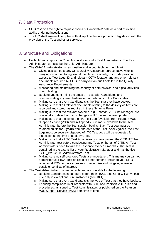### <span id="page-7-0"></span>7. Data Protection

- CITB reserves the right to request copies of Candidates' data as a part of routine audits or during investigations.
- The ITC shall ensure it complies with all applicable data protection legislation with the provision of the Test and other services.

### <span id="page-7-1"></span>8. Structure and Obligations

- Each ITC must appoint a Chief Administrator and a Test Administrator. The Test Administrator can also be the Chief Administrator.
- The **Chief Administrator** is responsible and accountable for the following:
	- o Giving assistance to any CITB Quality Assurance representative who is carrying out a monitoring visit at the ITC or remotely, to include providing access to Test Logs, ID and relevant CCTV footage, and any other relevant documents required by CITB to carry out an audit detailed in the Quality Assurance Requirements.
	- $\circ$  Monitoring and maintaining the security of both physical and digital activities during testing.
	- o Booking and confirming the times of Tests with Candidates and communicating any re-schedules or cancellations to the Candidates.
	- o Making sure that every Candidate sits the Test that they have booked.
	- o Making sure that all relevant documents relating to the delivery of Tests are recorded and stored, as required in these Scheme Rules.
	- o Making sure that the relevant systems, e.g. Pearson VUE Site Manager, are continually updated, and any changes in ITC personnel are updated.
	- o Making sure that a copy of the ITC Test Log (available from [Pearson VUE](https://vss.pearsonvue.com/)  [Support Service \(VSS\)](https://vss.pearsonvue.com/) and in Appendix 8) is made available to the Test Administrator before the Test session begins. Each Test Log must be retained on file for **2 years** from the date of the Test. After **2 years**, the Test Logs must be securely disposed of. ITC Test Logs will be requested for inspection at the time of audit by CITB.
	- o Making sure that all ITC Test Administrators have passed the CITB ITC Test Administrator test before conducting any Tests on behalf of CITB. All Test Administrators need to take the Test once every **12 months**. The Test is contained in the exams list of your Registration Manager and has the title 'CITB\_PVTC: ITC Administrators Test'.
	- o Making sure no self-proctored Tests are undertaken. This means you cannot administer your own Test or Tests of other persons known to you. CITB requires all ITCs to have a process to recognise and mitigate, wherever possible, conflicts of interest.
- The **Test Administrator** is responsible and accountable for the following:
	- o Booking Candidates in 48 hours before their HS&E test. CITB will waive this rule only in exceptional circumstances (see 10.1).
	- $\circ$  Making sure that every Candidate sits the type of Test that they have booked.
	- o Ensuring compliance in all respects with CITB and Pearson VUE rules and procedures, as issued to Test Administrators or published on the [Pearson](https://vss.pearsonvue.com/)  [VUE Support Service \(VSS\)](https://vss.pearsonvue.com/) from time to time.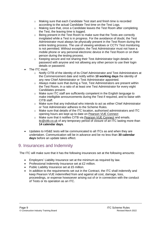- $\circ$  Making sure that each Candidate Test start and finish time is recorded according to the actual Candidate Test time on the Test Logs.
- o Making sure that, once a Candidate leaves the Test Room after completing the Test, the leaving time is logged.
- o Being present in the Test Room to make sure that the Tests are correctly invigilated while a Test is in progress. For the avoidance of doubt, the Test Administrator must always be physically present in the Test Room during the entire testing process. The use of viewing windows or CCTV Test monitoring is not permitted. Without exception, the Test Administrator must not have a mobile phone or any personal electronic device in the Test Room or on their person during the testing process.
- o Keeping secure and not sharing their Test Administrator login details or password with anyone and not allowing any other person to use their login details or password.
- The ITC must:
	- o Notify CITB of the identity of its Chief Administrator and Test Administrators at the Commencement date and notify within **10 working days** the identity of any new Chief Administrator or Test Administrator appointed.
	- o Always make sure that during a Test, Test Administrators are present within the Test Room, in a ratio of at least one Test Administrator for every eight Candidates present.
	- o Make sure ITC staff are sufficiently competent in the English language to make intelligible announcements during the Test if required, and to liaise with CITB staff.
	- $\circ$  Make sure that any individual who intends to act as either Chief Administrator or Test Administrator adheres to the Scheme Rules.
	- o Make sure that details of the ITC location, authorised administrators and ITC opening hours are kept up to date on [Pearson VUE Connect](https://connect.pearsonvue.com/Connect/#/authenticate)
	- o Make sure that it notifies CITB via [Pearson VUE Connect](https://connect.pearsonvue.com/Connect/#/authenticate) and emails. [itc@citb.co.uk](mailto:itc@citb.co.uk) of any temporary period of closure of an ITC lasting more than **14 calendar days**.
- Updates to HS&E tests will be communicated to all ITCs as and when they are undertaken. Communication will be in advance and be no less than **30 calendar days** before an update takes effect.

### <span id="page-8-0"></span>9. Insurances and Indemnity

The ITC will make sure that it has the following insurances set at the following amounts:

- Employers' Liability Insurance set at the minimum as required by law.
- Professional Indemnity Insurance set at £2 million.
- Public Liability Insurance set at £5 million.
- In addition to the requirements set out in the Contract, the ITC shall indemnify and keep Pearson VUE indemnified from and against all cost, damage, loss, proceedings, or expense howsoever arising out of or in connection with the conduct of Tests or its operation as an ITC.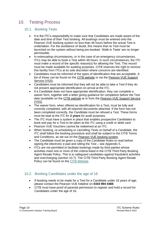### <span id="page-9-1"></span><span id="page-9-0"></span>10. Testing Process

#### 10.1. Booking Tests

- <span id="page-9-2"></span>• It is the ITC's responsibility to make sure that Candidates are made aware of the date and time of their Test booking. All bookings must be entered onto the Pearson VUE booking system no less than 48 hours before the actual Test is undertaken. For the avoidance of doubt, this means that no Test must be launched on the system without being pre-booked. 'Walk-in Tests' are no longer permissible.
- In extenuating circumstances, or in the case of an emergency circumstances, ITCs may be able to book a Test within 48 hours. In such circumstances, the ITC must make a record of the specific reason(s) for allowing the Test. This record must be made available for auditing purposes. CITB reserves the right to remove this facility from ITCs at its sole discretion where concerns are identified.
- Candidates must be informed of the types of identification that are acceptable. A list of these can be found on the [CITB website](https://www.citb.co.uk/media/nkdbqksx/hse-test-id-policy-october-2021.pdf) or via the [Pearson VUE Support](https://vss.pearsonvue.com/)  [Service \(VSS\).](https://vss.pearsonvue.com/)
- Candidates must be informed that they will not be able to take a Test if they do not present appropriate identification on arrival at the ITC.
- If a Candidate does not have appropriate identification, they can complete a waiver form, together with a letter giving guidance for completion before the Test date (available on the [CITB website](http://www.citb.co.uk/cards-testing/booking-test/book-for-an-indivudual/) at or from the [Pearson VUE Support Service](https://vss.pearsonvue.com/)  [\(VSS\).](https://vss.pearsonvue.com/)
- The waiver form, when offered as identification for a Test, must be fully and correctly completed, with all required documents attached. If the form has not been completed correctly, the Candidate must be refused a Test. These forms must be kept at the ITC for **2 years** for audit purposes.
- The ITC must have a system in place that enables prospective Candidates to book and pay for a Test to be taken at the ITC using a credit or debit card.
- Pearson VUE Vouchers cannot be redeemed at an ITC.
- When booking, re-scheduling or cancelling Tests *on behalf of a Candidate*, the ITC shall follow the booking procedure and shall be subject to the CITB Terms and Conditions, as set out on the [Pearson VUE booking system.](https://wsr.pearsonvue.com/testtaker/signin/SignInPage/CITB)
- The Candidate must be given a copy of the Candidate Rules to read before signing the electronic e-pad and sitting the Test – see Appendix 5.
- ITCs are not permitted to facilitate bookings made by third parties whose activities meet one or more of the criteria listed in the CITB Third Party Booking Agent Resale Policy. This is to safeguard candidates against fraudulent activities and overcharging (section 10.7). The CITB Third Party Booking Agent Resale Policy can be found on the [CITB Website.](https://www.citb.co.uk/about-citb/what-we-do/citb-policies/third-party-booking-agent-resale-policy/)

#### 10.2. Booking Candidates under the age of 16

- <span id="page-9-3"></span>• If booking needs to be made for a Test for a Candidate under 16 years of age, please contact the Pearson VUE helpline on **0344 994 4488**.
- CITB must have proof of parental permission to register and hold a record for Candidates under the age of 16.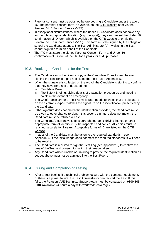- Parental consent must be obtained before booking a Candidate under the age of 16. The parental consent form is available on the [CITB website](http://www.citb.co.uk/cards-testing/booking-test/book-for-an-indivudual/) at or via the [Pearson VUE Support Service \(VSS\).](https://vss.pearsonvue.com/)
- In exceptional circumstances, where the under-16 Candidate does not have any form of photographic identification (e.g. passport), they can present the Under 16 confirmation of ID form, which is available on the [CITB website](http://www.citb.co.uk/cards-testing/booking-test/book-for-an-indivudual/) at or via the [Pearson VUE Support Service \(VSS\).](https://vss.pearsonvue.com/) This form must be signed by the college or school the Candidate attends. The Test Administrator(s) invigilating the Test cannot sign this form on behalf of the Candidate.
- The ITC must store the signed [Parental Consent Form](https://www.citb.co.uk/media/nqefc1tc/parental_consent_form.pdf) and Under 16 confirmation of ID form at the ITC for **2 years** for audit purposes.

#### <span id="page-10-0"></span>10.3. Booking-in Candidates for the Test

- The Candidate must be given a copy of the Candidate Rules to read before signing the electronic e-pad and sitting the Test – see Appendix 5.
- When the signature is collected on the e-pad, the Candidate is signing to confirm that they have read and understood the:
	- o Candidate Rules.
	- o Fire Safety Briefing, giving details of evacuation procedures and meeting points in the event of an emergency.
- The Chief Administrator or Test Administrator needs to check that the signature on the electronic e-pad matches the signature on the identification presented by the Candidate.
- If the signature does not match the identification provided, the Candidate must be given another chance to sign. If this second signature does not match, the Candidate must be refused a Test.
- The Candidate's current valid passport, photographic driving licence or other appropriate form of identity must be inspected and copied. All copies must be retained securely for **2 years**. Acceptable forms of ID are listed on the [CITB](https://www.citb.co.uk/media/nkdbqksx/hse-test-id-policy-october-2021.pdf.)  [website.](https://www.citb.co.uk/media/nkdbqksx/hse-test-id-policy-october-2021.pdf.)
- Images of the Candidate must be taken to the required standards see Appendix 4. If the initial image does not meet the required standards, it will need to be re-taken.
- The Candidate is required to sign the Test Log (see Appendix 8) to confirm the time of the Test and consent to having their image taken.
- Any Candidate who is unable or unwilling to provide the required identification as set out above must not be admitted into the Test Room.

### <span id="page-10-1"></span>10.4. During and Completion of Testing

• After a Test begins, if a technical problem occurs with the computer equipment, or there is a power failure, the Test Administrator can re-start the Test. If this fails, the Pearson VUE Technical Support team must be contacted on **0800 145 6084** (available 24 hours a day with worldwide coverage).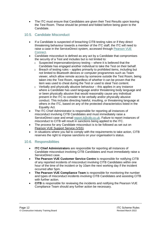• The ITC must ensure that Candidates are given their Test Results upon leaving the Test Room. These should be printed and folded before being given to the Candidate.

#### <span id="page-11-0"></span>10.5. Candidate Misconduct

- If a Candidate is suspected of breaching CITB testing rules or if they direct threatening behaviour towards a member of the ITC staff, the ITC will need to raise a case in the ServiceDirect system, accessed through [Pearson VUE](https://connect.pearsonvue.com/Connect/#/authenticate) [Connect.](https://connect.pearsonvue.com/Connect/#/authenticate)
- Candidate misconduct is defined as any act by a Candidate that compromises the security of a Test and includes but is not limited to:
	- $\circ$  Suspected impersonation/proxy testing where it is believed that the Candidate has engaged another individual to take the Test on their behalf.
	- o Breach of testing rules applies primarily to prohibited items, including but not limited to Bluetooth devices or computer programmes such as Team viewer, which allow remote access by someone outside the Test Room, being taken into the Test Room, regardless of whether it can be proven that the item was used to cheat during the Test or used to steal Test content.
	- $\circ$  Verbally and physically abusive behaviour this applies in any instance where a Candidate has used language and/or threatening body language and or been physically abusive that would reasonably cause any individual present in the ITC to consider to be verbally and/or physically abusive conduct. This includes directing hateful, insulting, or threatening language at others in the ITC, based on any of the protected characteristics listed in the Equality Act.
- The ITC Chief Administrator is responsible for reporting all instances of misconduct involving CITB Candidates and must immediately raise a ServiceDirect case and email [report.it@citb.co.uk.](file:///C:/Users/karen.hilliard/AppData/Local/Microsoft/Windows/INetCache/Content.Outlook/GP57O8OX/report.it@citb.co.uk) Failure to report instances of misconduct to CITB will result in sanctions being applied to the ITC.
- The process for any Candidate misconduct is to be followed as set out on [Pearson VUE Support Service \(VSS\)](https://vss.pearsonvue.com/).
- In situations where you fail to comply with the requirements to take action, CITB reserves the right to impose sanctions on your organisation's status.

#### <span id="page-11-1"></span>10.6. Responsibilities

- **ITC Chief Administrators** are responsible for reporting all instances of Candidate misconduct involving CITB Candidates and must immediately raise a ServiceDirect case.
- **The Pearson VUE Customer Service Centre** is responsible for notifying CITB of any reported incidents of misconduct involving CITB Candidates within one hour of the time of the incident or by 10am the next working day if the incident occurred after 5pm.
- **The Pearson VUE Compliance Team** is responsible for monitoring the number and types of misconduct incidents involving CITB Candidates and assisting CITB with further action.
- **CITB** is responsible for reviewing the incidents and notifying the Pearson VUE Compliance Team should any further action be necessary.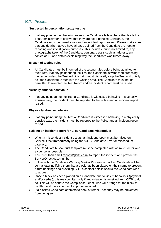#### <span id="page-12-0"></span>10.7. Process

#### **Suspected impersonation/proxy testing**

If at any point in the check-in process the Candidate fails a check that leads the Test Administrator to believe that they are not a genuine Candidate, the Candidate must be turned away and an incident report raised. Please make sure that any details that you have already gained from the Candidate are kept for reporting and investigation purposes. This includes, but is not limited to, any photographs taken of the Candidate, personal details such as address, any copies of ID, and details explaining why the Candidate was turned away.

#### **Breach of testing rules**

• All Candidates must be informed of the testing rules before being admitted to their Test. If at any point during the Test the Candidate is witnessed breaching the testing rules, the Test Administrator must discreetly stop the Test and quietly ask the Candidate to step into the waiting area. The Candidate must not be permitted to re-enter the Test Room and an incident report must be raised.

#### **Verbally abusive behaviour**

If at any point during the Test a Candidate is witnessed behaving in a verbally abusive way, the incident must be reported to the Police and an incident report raised.

#### **Physically abusive behaviour**

• If at any point during the Test a Candidate is witnessed behaving in a physically abusive way, the incident must be reported to the Police and an incident report raised.

#### **Raising an incident report for CITB Candidate misconduct**

- When a misconduct incident occurs, an incident report must be raised on ServiceDirect **immediately** using the 'CITB Candidate Error or Misconduct' category.
- The Candidate Misconduct template must be completed with as much detail and evidence as possible.
- You must then email [report.it@citb.co.uk](mailto:report.it@citb.co.uk) to report the incident and provide the ServiceDirect case number.
- In line with the Candidate Warning Marker Process, a blocked Candidate will be sent a letter notifying them that a block has been placed on their name to prevent future bookings and providing CITB's contact details should the Candidate wish to appeal.
- Once a block has been placed on a Candidate due to violent behaviour (physical and/or verbal), this may be lifted only if authorisation is received from CITB to do so. This will be sent to the Compliance Team, who will arrange for the block to be lifted and the evidence of approval retained.
- If a blocked Candidate attempts to book a further Test, they may be prevented from doing so.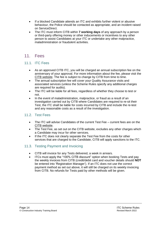- If a blocked Candidate attends an ITC and exhibits further violent or abusive behaviour, the Police should be contacted as appropriate, and an incident raised on ServiceDirect.
- The ITC must inform CITB within **7 working days** of any approach by a person or third-party offering money or other inducements or incentives to any other person to assist Candidates at your ITC or undertake any other malpractice, maladministration or fraudulent activities.

### <span id="page-13-0"></span>11. Fees

#### 11.1. ITC Fees

- <span id="page-13-1"></span>• As an approved CITB ITC, you will be charged an annual subscription fee on the anniversary of your approval. For more information about the fee, please visit the CITB [website.](https://www.citb.co.uk/standards-and-delivering-training/internet-test-centre-itc-support/) The fee is subject to change by CITB from time to time.
- The annual subscription fee will cover your Quality Assurance visits and associated services (unless the Scheme Rules specify any additional charges are required for audits).
- The ITC will be liable for all fees, regardless of whether they choose to test or not.
- In the event of maladministration, malpractice, or fraud as a result of an investigation carried out by CITB where Candidates are required to re-sit their Test, the ITC shall be liable for costs incurred by CITB and include the re-test and any reasonable costs as a result of the investigation.

#### <span id="page-13-2"></span>11.2. Test Fees

- The ITC will advise Candidates of the current Test Fee current fees are on the [CITB website.](https://www.citb.co.uk/courses-and-qualifications/hse-test-and-cards/book-a-test/)
- The Test Fee, as set out on the CITB website, excludes any other charges which a Candidate may incur for other services.
- If the ITC does not clearly separate the Test Fee from the costs for other services that are charged to the Candidate, CITB will apply sanctions to the ITC.

#### <span id="page-13-3"></span>11.3. Testing Payment and Invoicing

- CITB will invoice for any Tests delivered, a week in arrears.
- ITCs must apply the "100% CITB discount" option when booking Tests and pay the weekly invoices from CITB (credit/debit card and voucher details should **NOT** be entered into 'Registration Manager'). If an ITC does not use the correct payment method as set out above, it will still be charged on its weekly invoicing from CITB. No refunds for Tests paid by other methods will be given.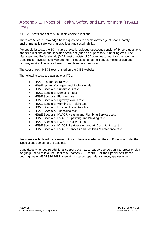### <span id="page-14-0"></span>Appendix 1. Types of Health, Safety and Environment (HS&E) tests

All HS&E tests consist of 50 multiple choice questions.

There are 50 core knowledge-based questions to check knowledge of health, safety, environmentally safe working practices and sustainability.

For specialist tests, the 50 multiple choice knowledge questions consist of 44 core questions and six questions on the specific specialism (such as supervisory, tunnelling etc.). The Managers and Professionals (MAP) test consists of 50 core questions, including on the Construction (Design and Management) Regulations, demolition, plumbing or gas and highway works. The time allowed for each test is 45 minutes.

The cost of each HS&E test is listed on the CITB [website.](https://www.citb.co.uk/courses-and-qualifications/hse-test-and-cards/book-a-test/)

The following tests are available at ITCs:

- HS&E test for Operatives
- HS&E test for Managers and Professionals
- HS&E Specialist Supervisors test
- **HS&E Specialist Demolition test**
- HS&E Specialist Plumbing test
- **HS&E Specialist Highway Works test**
- HS&E Specialist Working at Height test
- HS&E Specialist Lifts and Escalators test
- HS&E Specialist Tunnelling test
- HS&E Specialist HVACR Heating and Plumbing Services test
- HS&E Specialist HVACR Pipefitting and Welding test
- HS&E Specialist HVACR Ductwork test
- HS&E Specialist HVACR Refrigeration and Air Conditioning test
- HS&E Specialist HVACR Services and Facilities Maintenance test.

Tests are available with voiceover options. These are listed on the CITB [website](https://www.citb.co.uk/courses-and-qualifications/hse-test-and-cards/about-hse-test/) under the 'Special assistance for the test' tab.

Candidates who require additional support, such as a reader/recorder, an interpreter or sign language, need to take their test at a Pearson VUE centre. Call the Special Assistance booking line on **0344 994 4491** or email [citb.testingspecialassistance@pearson.com.](mailto:citb.testingspecialassistance@pearson.com)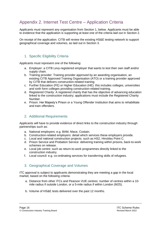### <span id="page-15-0"></span>Appendix 2. Internet Test Centre – Application Criteria

Applicants must represent any organisation from Section 1, below. Applicants must be able to evidence that the application is supporting at least one of the criteria laid out in Section 2.

On receipt of the application. CITB will review the existing HS&E testing network to support geographical coverage and volumes, as laid out in Section 3.

#### <span id="page-15-1"></span>1. Specific Eligibility Criteria

Applicants must represent one of the following:

- a. Employer: a CITB Levy-registered employer that wants to test their own staff and/or supply chain.
- b. Training provider: Training provider approved by an awarding organisation, an existing CITB Approved Training Organisation (ATO) or a training provider approved by CITB that delivers construction-related training.
- c. Further Education (FE) or Higher Education (HE): this includes colleges, universities and sixth form colleges providing construction-related training.
- d. Registered Charity: A registered charity that has the objective of advancing education linked to the construction industry; applications must include the Registered Charity Number.
- e. Prison: Her Majesty's Prison or a Young Offender Institution that aims to rehabilitate and train offenders.

#### <span id="page-15-2"></span>2. Additional Requirements

Applicants will have to provide evidence of direct links to the construction industry through partnerships such as:

- a. National employers: e.g. BAM, Mace, Costain.
- b. Construction-related employers: detail which services these employers provide.
- c. Local and national construction projects: such as HS2, Hinckley Point C.
- d. Prison Service and Probation Service: delivering training within prisons, back-to-work schemes on release.
- e. Local job centre: such as return-to-work programmes directly linked to the construction industry.
- f. Local council: e.g. co-ordinating services for transferring skills of refugees.

#### <span id="page-15-3"></span>3. Geographical Coverage and Volumes

ITC approval is subject to applicants demonstrating they are meeting a gap in the local market, based on the following criteria:

- a. Distance from other ITCs and Pearson VUE centres: number of centres within a 10 mile radius if outside London, or a 5-mile radius if within London (M25).
- b. Volume of HS&E tests delivered over the past 12 months.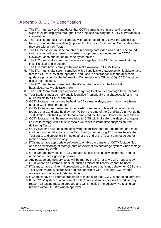### <span id="page-16-0"></span>Appendix 3. CCTV Specification

- 1. The ITC must advise Candidates that CCTV cameras are in use, and prominent signs must be displayed throughout the premises advising that CCTV surveillance is in operation.
- 2. The Test Room must have cameras with audio recording to cover the whole Test Room, including the invigilator(s) present in the Test Room and all Candidates when they are taking their Tests.
- 3. The CCTV system must be capable of recording both video and audio. The sound can be recorded by external or internal microphones connected to the CCTV. However, video and sound must be synchronised.
- 4. The ITC must make sure that the video footage from the CCTV cameras that they install is clear and in colour.
- 5. The ITC must have, comply with, and make available, a CCTV Policy.
- 6. The ITC must make sure it complies with all applicable data protection legislation and that the CCTV is installed, operated, and used in accordance with the applicable guidance provided by the Information Commissioner's Office (ICO). CCTV must be digital not analogue.
- 7. The ITC must be registered with the ICO information can be found at [https://ico.org.uk/r](https://ico.org.uk/)egistration/new.
- 8. The Test Room must have appropriate lighting to allow clear footage to be recorded.
- 9. Test Stations must be individually identified (numerically or alphabetically) and must all be visible to a CCTV camera.
- 10. CCTV footage must always be held for **30 calendar days**, even if you have been audited within this time period.
- 11. CCTV footage if requested must be **continuous** and contain **all** visual and audio footage of a Candidate held by the ITC from the time of the Candidate's arrival at the Test Station until the Candidate has completed the Test and leaves the Test Station.
- 12. CCTV footage must be made available to CITB within **2 calendar days** of a request. Failure to comply within this timescale will result in immediate suspension from delivering Tests.
- 13. CCTV systems must be compatible with the **30-day** storage requirement and must continuously record activity in the Test Room, commencing 15 minutes before the Test starts and stopping 15 minutes after the end of the Test. It cannot be set for motion sensor activation only.
- 14. ITCs must have appropriate software to enable the transfer of CCTV footage files and the downloading of footage onto an external driver/storage system when footage is requested by CITB.
- 15. CITB can and may ask for CCTV footage as part of its quality assurance, and for audit and/or investigation purposes.
- 16. Any postage and delivery costs will be met by the ITC for any CCTV requests by CITB where an electronic medium, such as Microsoft Teams, cannot be used.
- 17. ITCs must have an internal procedure to make sure that timings shown on CCTV and Test Stations are synchronised and are consistent with Test Logs. CCTV must always show the correct date and time.
- 18. ITCs must have an internal procedure to make sure that CCTV is operating correctly.
- 19. If the CCTV system or a camera at an ITC breaks down or ceases to work for any reason, all testing must be stopped and CITB notified immediately. No testing can resume without CITB's written approval.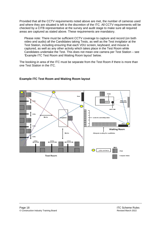Provided that all the CCTV requirements noted above are met, the number of cameras used and where they are situated is left to the discretion of the ITC. All CCTV requirements will be checked by a CITB representative at the survey and audit stage to make sure all required areas are captured as stated above. These requirements are mandatory.

Please note: There must be sufficient CCTV coverage to capture and record (on both video and audio) all the Candidates taking Tests, as well as the Test invigilator at the Test Station, including ensuring that each VDU screen, keyboard, and mouse is captured, as well as any other activity which takes place in the Test Room while Candidates undertake the Test. This does not mean one camera per Test Station – see 'Example ITC Test Room and Waiting Room layout' below.

The booking-in area of the ITC must be separate from the Test Room if there is more than one Test Station in the ITC.

#### **Example ITC Test Room and Waiting Room layout**

<span id="page-17-0"></span>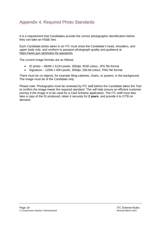### Appendix 4. Required Photo Standards

It is a requirement that Candidates provide the correct photographic identification before they can take an HS&E test.

Each Candidate photo taken in an ITC must show the Candidate's head, shoulders, and upper body only, and conform to passport photograph quality and guidance at [https://www.gov.uk/photos-for-passports.](https://www.gov.uk/photos-for-passports)

The current image formats are as follows:

- ID photo 384W x 512H pixels, 300dpi, RGB colour, JPG file format
- Signature 125W x 65H pixels, 300dpi, 256-bit colour, PNG file format.

There must be no objects, for example filing cabinets, chairs, or posters, in the background. The image must be of the Candidate only.

Please note: Photographs must be reviewed by ITC staff before the Candidate takes the Test to confirm the image meets the required standard. This will help ensure an efficient customer journey if the image is to be used for a Card Scheme application. The ITC staff must also take a copy of the ID produced, retain it securely for **2 years**, and provide it to CITB on demand.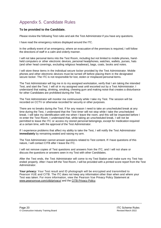### <span id="page-19-0"></span>Appendix 5. Candidate Rules

#### **To be provided to the Candidate.**

Please review the following Test rules and ask the Test Administrator if you have any questions.

I have read the emergency notices displayed around the ITC.

In the unlikely event of an emergency, where an evacuation of the premises is required, I will follow the directions of staff in a calm and orderly manner.

I will not take personal items into the Test Room, including but not limited to mobile phones, handheld computers or other electronic devices, personal headphones, watches, wallets, purses, hats (and other head coverings, excluding religious headwear), bags, coats, books and notes.

I will store these items in the individual secure locker provided by the Test Administrator. Mobile phones and other electronic devices must be turned off before placing them in the designated secure locker. The ITC is not responsible for lost, stolen or misplaced personal items.

The Test Administrator will log me in to my assigned workstation, verify that I am taking the intended Test, and start the Test. I will sit in my assigned seat until escorted out by a Test Administrator. I understand that eating, drinking, smoking, chewing gum and making noise that creates a disturbance for other Candidates are prohibited during the Test.

The Test Administrator will monitor me continuously while I take my Test. The session will be recorded on CCTV or otherwise recorded for security or other purposes.

There are no breaks during the Test. If for any reason I need to take an unscheduled break at any time during the Test, I understand that the Test timer will not stop while I take the unscheduled break. I will take my identification with me when I leave the room, and this will be inspected before I re-enter the Test Room. I understand that, while taking an unscheduled break, I will not be permitted to leave the ITC or access my stored personal belongings, except for medication required at a certain time, with the approval of the Test Administrator.

If I experience problems that affect my ability to take the Test, I will notify the Test Administrator **immediately** by remaining seated and raising my arm.

The Test Administrator cannot answer questions related to Test content. If I have questions of this nature, I will contact CITB after I leave the ITC.

I will not remove copies of Test questions and answers from the ITC, and I will not share or discuss the questions or answers seen in my Test with other Candidates.

After the Test ends, the Test Administrator will come to my Test Station and make sure my Test has ended properly. After I have left the Test Room, I will be provided with a printed score report from the Test Administrator.

**Your privacy:** Your Test result and ID photograph will be encrypted and transmitted to Pearson VUE and CITB. The ITC does not keep any information other than when and where your Test was taken. For more information, view the Pearson Vue Privacy Policy Statement at [www.pearsonvue.com/citb/privacy/](http://www.pearsonvue.com/citb/privacy/) and the [CITB Privacy Policy.](https://www.citb.co.uk/utility-links/privacy-policy-cookies/)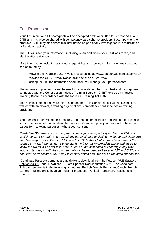### <span id="page-20-0"></span>Fair Processing

Your Test result and ID photograph will be encrypted and transmitted to Pearson VUE and CITB and may also be shared with competency card scheme providers if you apply for their products. CITB may also share this information as part of any investigation into malpractice or fraudulent activity.

The ITC will keep your information, including when and where your Test was taken, and identification evidence.

More information, including about your legal rights and how your information may be used, can be found by:

- viewing the Pearson VUE Privacy Notice online at [www.pearsonvue.com/citb/privacy](http://www.pearsonvue.com/citb/privacy)
- viewing the CITB Privacy Notice online at citb.co.uk/privacy
- asking the ITC for information about how they manage your personal data.

The information you provide will be used for administering the HS&E test and for purposes connected with the Construction Industry Training Board's ("CITB") role as an Industrial Training Board in accordance with the Industrial Training Act 1982.

This may include sharing your information on the CITB Construction Training Register, as well as with employers, awarding organisations, competency card schemes or training providers.

Your personal data will be held securely and treated confidentially and will not be disclosed to third parties other than as described above. We will not pass your personal data to third parties for marketing purposes without your consent.

*Candidate Statement: By signing the digital signature e-pad, I give Pearson VUE my explicit consent to retain and transmit my personal data (including my image and signature) and Test responses to Pearson VUE and to CITB (either of which may be outside of the country in which I am testing). I understand the information provided above and agree to follow the Rules. If I do not follow the Rules, or I am suspected of cheating in any way including tampering with the computer, this will be reported to Pearson VUE and CITB, my Test may be invalidated, CITB may take other action and I will not be refunded my Test fee.*

<span id="page-20-1"></span>\*Candidate Rules Agreements are available to download from the [Pearson VUE Support](http://vss.pearsonvue.com/)  [Service \(VSS\),](http://vss.pearsonvue.com/) under Download – Exam Sponsor Documentation A-M. The Candidate Rules Agreement is in the following languages: English, Welsh, Bulgarian, Czech, French, German, Hungarian, Lithuanian, Polish, Portuguese, Punjabi, Romanian, Russian and Spanish.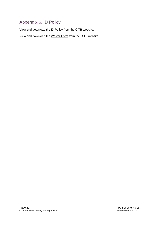## Appendix 6. ID Policy

View and download the [ID Policy](https://www.citb.co.uk/media/nkdbqksx/hse-test-id-policy-october-2021.pdf) from the CITB website.

View and download the [Waiver Form](https://www.citb.co.uk/media/uwvjmqtz/citb-hse-test-id-waiver-form-and-letter-apr-22.pdf) from the CITB website.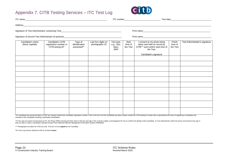### Appendix 7. CITB Testing Services – ITC Test Log



| Address_                             | <u> 2000 - Jan James James James James James James James James James James James James James James James James J</u> |                                          |                                        |                                                 |                              |                                                                                                                                       |                               |                                |
|--------------------------------------|----------------------------------------------------------------------------------------------------------------------|------------------------------------------|----------------------------------------|-------------------------------------------------|------------------------------|---------------------------------------------------------------------------------------------------------------------------------------|-------------------------------|--------------------------------|
|                                      |                                                                                                                      |                                          |                                        |                                                 |                              |                                                                                                                                       |                               |                                |
|                                      |                                                                                                                      |                                          |                                        |                                                 | Print name                   |                                                                                                                                       |                               |                                |
| Candidate's name<br>(block capitals) | Candidate's CITB<br>registration number or<br>CITB testing ID*                                                       | Type of<br>identification<br>presented** | Last four digits on<br>photographic ID | Test type,<br>e.g., Ops,<br>Spec,<br><b>MAP</b> | Start<br>time of<br>the Test | I consent to my photo being<br>taken and held on record by<br>CITB*** and confirm start time of<br>the Test.<br>Candidate's signature | Finish<br>time of<br>the Test | Test Administrator's signature |
|                                      |                                                                                                                      |                                          |                                        |                                                 |                              |                                                                                                                                       |                               |                                |
|                                      |                                                                                                                      |                                          |                                        |                                                 |                              |                                                                                                                                       |                               |                                |
|                                      |                                                                                                                      |                                          |                                        |                                                 |                              |                                                                                                                                       |                               |                                |
|                                      |                                                                                                                      |                                          |                                        |                                                 |                              |                                                                                                                                       |                               |                                |
|                                      |                                                                                                                      |                                          |                                        |                                                 |                              |                                                                                                                                       |                               |                                |
|                                      |                                                                                                                      |                                          |                                        |                                                 |                              |                                                                                                                                       |                               |                                |
|                                      |                                                                                                                      |                                          |                                        |                                                 |                              |                                                                                                                                       |                               |                                |
|                                      |                                                                                                                      |                                          |                                        |                                                 |                              |                                                                                                                                       |                               |                                |
|                                      |                                                                                                                      |                                          |                                        |                                                 |                              |                                                                                                                                       |                               |                                |
|                                      |                                                                                                                      |                                          |                                        |                                                 |                              |                                                                                                                                       |                               |                                |

<span id="page-22-0"></span>\*If a Candidate has previously taken a CITB Test, please include their Candidate registration number. If this is the first Test the Candidate has taken, please include the CITB testing ID number (this is generated at the t

\*\*In the case of a prison environment as ITC, the Prison Officer should print their name in this box and sign in the "Last four digits on photographic ID" box to confirm the identity of the Candidate. (A Test Administrator they are able to verify a Candidate's identity through Prison National Offender Management Information System (PNOMIS)).

\*\*\* Photographs are taken for CITB use only. This box is to be **signed** by the Candidate.

The Test Log must be retained on file for at least **2 years**.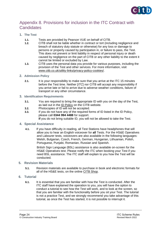

### <span id="page-23-0"></span>Appendix 8. Provisions for inclusion in the ITC Contract with **Candidates**

- **1. The Test**
	- **1.1.** Tests are provided by Pearson VUE on behalf of CITB.
	- **1.2.** CITB shall not be liable whether in contract or tort (including negligence and breach of statutory duty statute or otherwise) for any loss or damage to persons or property caused by participation in, or failure to pass, the Test. This does not prevent or limit liability in respect of personal injury or death caused by negligence on the part of CITB or any other liability to the extent it cannot be limited or excluded by Law.
	- **1.3.** CITB uses the personal data you provide for various purposes, including the provision of the Test and other services. For more information, visit [www.citb.co.uk/utility-links/privacy-policy-cookies/.](http://www.citb.co.uk/utility-links/privacy-policy-cookies/)
- **2. Admission Policy**
	- **2.1.** It is your responsibility to make sure that you arrive at the ITC 15 minutes before the Test time. Neither [*ITC*] nor CITB will accept any responsibility if you arrive late or fail to arrive due to adverse weather conditions, failure of transport or any other circumstance.
- **3. Identification Requirements**
	- **3.1.** You are required to bring the appropriate ID with you on the day of the Test, as laid out in the [ID Policy](https://www.citb.co.uk/media/nkdbqksx/hse-test-id-policy-october-2021.pdf) on the CITB website.
	- **3.2.** Photocopies of ID will not be accepted.
	- **3.3.** If you do not have any of the required forms of ID listed in the ID Policy, please call **0344 994 4488** for support.
		- **If** you do not bring suitable ID, you will not be allowed to take the Test.
- **4. Special Assistance**
	- **4.1.** If you have difficulty in reading, all Test Stations have headphones that will allow you to hear an English voiceover for **all** Tests. For the HS&E Operatives and Labourer tests, voiceovers are also available in the following languages: Welsh, Bulgarian, Czech, French, German, Hungarian, Lithuanian, Polish, Portuguese, Punjabi, Romanian, Russian and Spanish.

British Sign Language (BSL) assistance is also available on-screen for the HS&E Operatives test. Please notify the ITC when booking your Test if you need BSL assistance. The ITC staff will explain to you how the Test will be conducted.

- **5. Revision Materials**
	- **5.1.** Revision materials are available to purchase in book and electronic formats for all of the HS&E tests, on the online [CITB Shop.](https://shop.citb.co.uk/?_ga=2.149241919.846733832.1639397004-575814629.1638365928)
- **6. Tutorial**
	- **6.1.** It is essential that you are familiar with how the Test is conducted. After the ITC staff have explained the operation to you, you will have the option to conduct a tutorial to see how the Test will work, and to look at the screen, so that you are familiar with the functionality before you sit your Test. The tutorial is not a practice Test, and we strongly recommend you take advantage of this tutorial, as once the Test has started, it is not possible to interrupt it.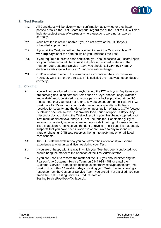

#### **7. Test Results**

- **7.1.** All Candidates will be given written confirmation as to whether they have passed or failed the Test. Score reports, regardless of the Test result, will also indicate subject areas of weakness where questions were not answered correctly.
- **7.2.** Your Test fee is not refundable if you do not arrive at the ITC for your scheduled appointment.
- **7.3.** If you fail the Test, you will not be allowed to re-sit the Test for at least **2 working days** after the date on which you undertook the Test.
- **7.4.** If you require a duplicate pass certificate, you should access your score report via your online account. To request a duplicate pass certificate from the Pearson Vue Customer Service Team, you should call **0344 994 4488**. A duplicate certificate will incur a £10 administration charge.
- **7.5.** CITB is unable to amend the result of a Test whatever the circumstances. However, CITB can order a re-test if it is satisfied the Test was not conducted correctly.

#### **8. Conduct**

- **8.1.** You will not be allowed to bring anybody into the ITC with you. Any items you are carrying (including personal items such as keys, phones, bags, watches and wallets) must be stored in a secure personal locker provided at the ITC. Please note that you must not refer to any document during the Test. All ITCs must have CCTV with audio and video recording capability, with Tests recorded for security and the detection or investigation of fraud. CCTV footage is retained securely by the Test provider for a period of up to **30 days**. Any misconduct by you during the Test will result in your Test being stopped, your Test result declared void, and your Test Fee forfeited. Candidates guilty of serious misconduct, including cheating, may forfeit their right to take a further Test. In addition, CITB reserves the right to revoke a Test pass if it reasonably suspects that you have been involved in or are linked to any misconduct, fraud or cheating. CITB also reserves the right to notify any other affiliated card scheme.
- **8.2.** The ITC staff will explain how you can attract their attention if you should experience any technical difficulties during your Test.
- **8.3.** If you are unhappy with the way in which your Test has been conducted, you should bring the matter to the attention of the Test Administrator.
- **8.4.** If you are unable to resolve the matter at the ITC, you should either ring the Pearson Vue Customer Service Team on **0344 994 4488** or email the Customer Service Team at citb.testingcustomerservices@pearson.com. You must do this within **15 working days** of sitting your Test. If, after receiving a response from the Customer Service Team, you are still not satisfied, you can email the CITB Testing Services product team at TestingServiceFeedback@citb.co.uk.